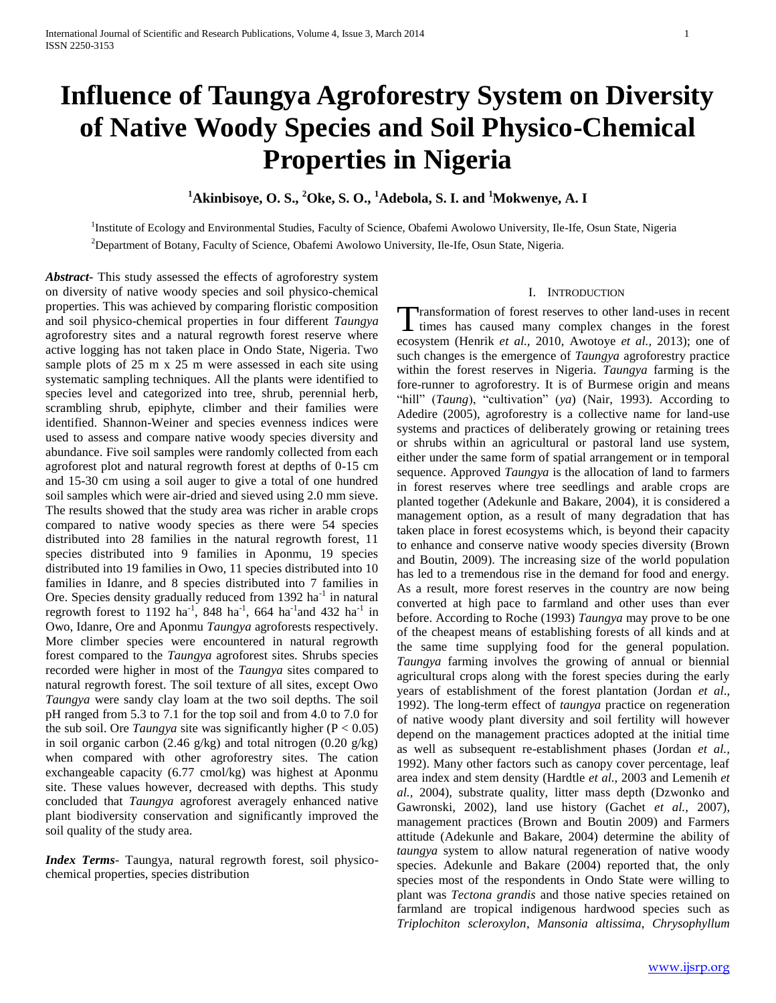# **Influence of Taungya Agroforestry System on Diversity of Native Woody Species and Soil Physico-Chemical Properties in Nigeria**

# **<sup>1</sup>Akinbisoye, O. S., <sup>2</sup>Oke, S. O., <sup>1</sup>Adebola, S. I. and <sup>1</sup>Mokwenye, A. I**

<sup>1</sup>Institute of Ecology and Environmental Studies, Faculty of Science, Obafemi Awolowo University, Ile-Ife, Osun State, Nigeria <sup>2</sup>Department of Botany, Faculty of Science, Obafemi Awolowo University, Ile-Ife, Osun State, Nigeria.

*Abstract***-** This study assessed the effects of agroforestry system on diversity of native woody species and soil physico-chemical properties. This was achieved by comparing floristic composition and soil physico-chemical properties in four different *Taungya* agroforestry sites and a natural regrowth forest reserve where active logging has not taken place in Ondo State, Nigeria. Two sample plots of 25 m x 25 m were assessed in each site using systematic sampling techniques. All the plants were identified to species level and categorized into tree, shrub, perennial herb, scrambling shrub, epiphyte, climber and their families were identified. Shannon-Weiner and species evenness indices were used to assess and compare native woody species diversity and abundance. Five soil samples were randomly collected from each agroforest plot and natural regrowth forest at depths of 0-15 cm and 15-30 cm using a soil auger to give a total of one hundred soil samples which were air-dried and sieved using 2.0 mm sieve. The results showed that the study area was richer in arable crops compared to native woody species as there were 54 species distributed into 28 families in the natural regrowth forest, 11 species distributed into 9 families in Aponmu, 19 species distributed into 19 families in Owo, 11 species distributed into 10 families in Idanre, and 8 species distributed into 7 families in Ore. Species density gradually reduced from 1392 ha<sup>-1</sup> in natural regrowth forest to 1192 ha<sup>-1</sup>, 848 ha<sup>-1</sup>, 664 ha<sup>-1</sup> and 432 ha<sup>-1</sup> in Owo, Idanre, Ore and Aponmu *Taungya* agroforests respectively. More climber species were encountered in natural regrowth forest compared to the *Taungya* agroforest sites. Shrubs species recorded were higher in most of the *Taungya* sites compared to natural regrowth forest. The soil texture of all sites, except Owo *Taungya* were sandy clay loam at the two soil depths. The soil pH ranged from 5.3 to 7.1 for the top soil and from 4.0 to 7.0 for the sub soil. Ore *Taungya* site was significantly higher  $(P < 0.05)$ in soil organic carbon (2.46 g/kg) and total nitrogen (0.20 g/kg) when compared with other agroforestry sites. The cation exchangeable capacity (6.77 cmol/kg) was highest at Aponmu site. These values however, decreased with depths. This study concluded that *Taungya* agroforest averagely enhanced native plant biodiversity conservation and significantly improved the soil quality of the study area.

*Index Terms*- Taungya, natural regrowth forest, soil physicochemical properties, species distribution

## I. INTRODUCTION

ransformation of forest reserves to other land-uses in recent Transformation of forest reserves to other land-uses in recent<br>times has caused many complex changes in the forest ecosystem (Henrik *et al.,* 2010, Awotoye *et al.,* 2013); one of such changes is the emergence of *Taungya* agroforestry practice within the forest reserves in Nigeria. *Taungya* farming is the fore-runner to agroforestry. It is of Burmese origin and means "hill" (*Taung*), "cultivation" (*ya*) (Nair, 1993). According to Adedire (2005), agroforestry is a collective name for land-use systems and practices of deliberately growing or retaining trees or shrubs within an agricultural or pastoral land use system, either under the same form of spatial arrangement or in temporal sequence. Approved *Taungya* is the allocation of land to farmers in forest reserves where tree seedlings and arable crops are planted together (Adekunle and Bakare, 2004), it is considered a management option, as a result of many degradation that has taken place in forest ecosystems which, is beyond their capacity to enhance and conserve native woody species diversity (Brown and Boutin, 2009). The increasing size of the world population has led to a tremendous rise in the demand for food and energy. As a result, more forest reserves in the country are now being converted at high pace to farmland and other uses than ever before. According to Roche (1993) *Taungya* may prove to be one of the cheapest means of establishing forests of all kinds and at the same time supplying food for the general population. *Taungya* farming involves the growing of annual or biennial agricultural crops along with the forest species during the early years of establishment of the forest plantation (Jordan *et al*., 1992). The long-term effect of *taungya* practice on regeneration of native woody plant diversity and soil fertility will however depend on the management practices adopted at the initial time as well as subsequent re-establishment phases (Jordan *et al.,*  1992). Many other factors such as canopy cover percentage, leaf area index and stem density (Hardtle *et al.,* 2003 and Lemenih *et al.,* 2004), substrate quality, litter mass depth (Dzwonko and Gawronski, 2002), land use history (Gachet *et al.,* 2007), management practices (Brown and Boutin 2009) and Farmers attitude (Adekunle and Bakare, 2004) determine the ability of *taungya* system to allow natural regeneration of native woody species. Adekunle and Bakare (2004) reported that, the only species most of the respondents in Ondo State were willing to plant was *Tectona grandis* and those native species retained on farmland are tropical indigenous hardwood species such as *Triplochiton scleroxylon*, *Mansonia altissima*, *Chrysophyllum*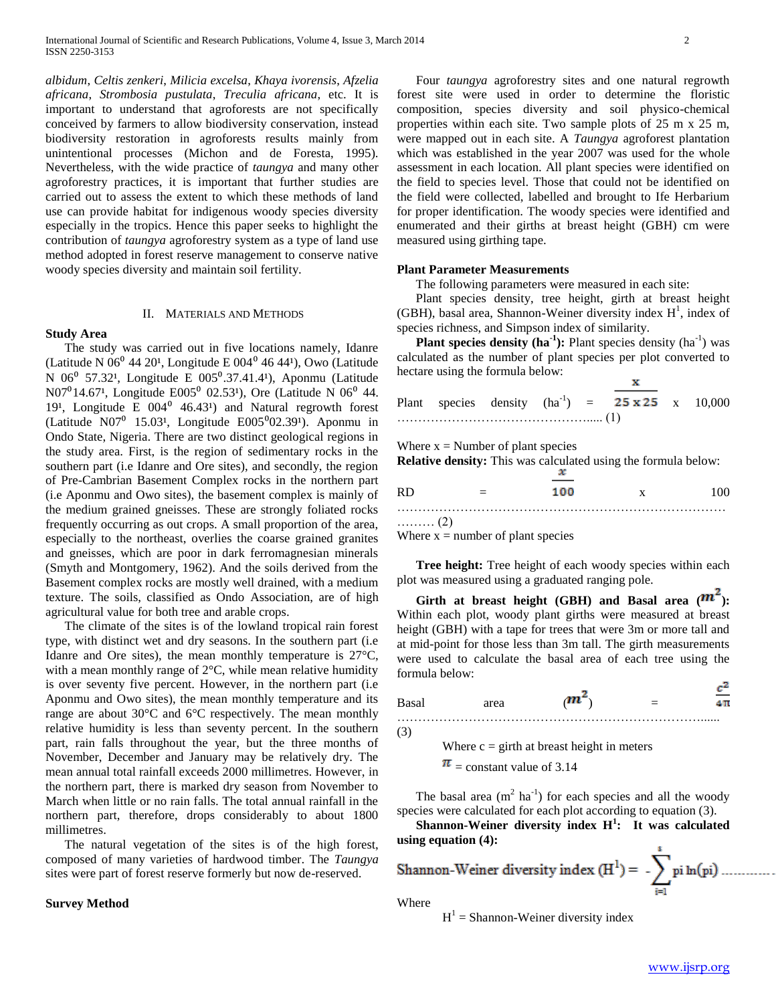*albidum*, *Celtis zenkeri*, *Milicia excelsa*, *Khaya ivorensis*, *Afzelia africana*, *Strombosia pustulata*, *Treculia africana*, etc. It is important to understand that agroforests are not specifically conceived by farmers to allow biodiversity conservation, instead biodiversity restoration in agroforests results mainly from unintentional processes (Michon and de Foresta, 1995). Nevertheless, with the wide practice of *taungya* and many other agroforestry practices, it is important that further studies are carried out to assess the extent to which these methods of land use can provide habitat for indigenous woody species diversity especially in the tropics. Hence this paper seeks to highlight the contribution of *taungya* agroforestry system as a type of land use method adopted in forest reserve management to conserve native woody species diversity and maintain soil fertility.

#### II. MATERIALS AND METHODS

## **Study Area**

 The study was carried out in five locations namely, Idanre (Latitude N  $06^{\circ}$  44 20<sup>1</sup>, Longitude E  $004^{\circ}$  46 44<sup>1</sup>), Owo (Latitude N 06<sup>0</sup> 57.32<sup>1</sup>, Longitude E 005<sup>0</sup>.37.41.4<sup>1</sup>), Aponmu (Latitude N07<sup>0</sup>14.67<sup>1</sup>, Longitude E005<sup>0</sup> 02.53<sup>1</sup>), Ore (Latitude N 06<sup>0</sup> 44. 19<sup>1</sup>, Longitude E  $004^{\circ}$  46.43<sup>1</sup>) and Natural regrowth forest (Latitude N07 $^0$  15.03<sup>1</sup>, Longitude E005 $^0$ 02.39<sup>1</sup>). Aponmu in Ondo State, Nigeria. There are two distinct geological regions in the study area. First, is the region of sedimentary rocks in the southern part (i.e Idanre and Ore sites), and secondly, the region of Pre-Cambrian Basement Complex rocks in the northern part (i.e Aponmu and Owo sites), the basement complex is mainly of the medium grained gneisses. These are strongly foliated rocks frequently occurring as out crops. A small proportion of the area, especially to the northeast, overlies the coarse grained granites and gneisses, which are poor in dark ferromagnesian minerals (Smyth and Montgomery, 1962). And the soils derived from the Basement complex rocks are mostly well drained, with a medium texture. The soils, classified as Ondo Association, are of high agricultural value for both tree and arable crops.

 The climate of the sites is of the lowland tropical rain forest type, with distinct wet and dry seasons. In the southern part (i.e Idanre and Ore sites), the mean monthly temperature is 27°C, with a mean monthly range of  $2^{\circ}C$ , while mean relative humidity is over seventy five percent. However, in the northern part (i.e Aponmu and Owo sites), the mean monthly temperature and its range are about 30°C and 6°C respectively. The mean monthly relative humidity is less than seventy percent. In the southern part, rain falls throughout the year, but the three months of November, December and January may be relatively dry. The mean annual total rainfall exceeds 2000 millimetres. However, in the northern part, there is marked dry season from November to March when little or no rain falls. The total annual rainfall in the northern part, therefore, drops considerably to about 1800 millimetres.

 The natural vegetation of the sites is of the high forest, composed of many varieties of hardwood timber. The *Taungya*  sites were part of forest reserve formerly but now de-reserved.

## **Survey Method**

 Four *taungya* agroforestry sites and one natural regrowth forest site were used in order to determine the floristic composition, species diversity and soil physico-chemical properties within each site. Two sample plots of 25 m x 25 m, were mapped out in each site. A *Taungya* agroforest plantation which was established in the year 2007 was used for the whole assessment in each location. All plant species were identified on the field to species level. Those that could not be identified on the field were collected, labelled and brought to Ife Herbarium for proper identification. The woody species were identified and enumerated and their girths at breast height (GBH) cm were

#### **Plant Parameter Measurements**

measured using girthing tape.

The following parameters were measured in each site:

 Plant species density, tree height, girth at breast height (GBH), basal area, Shannon-Weiner diversity index  $H<sup>1</sup>$ , index of species richness, and Simpson index of similarity.

**Plant species density (ha<sup>1</sup>):** Plant species density (ha<sup>-1</sup>) was calculated as the number of plant species per plot converted to hectare using the formula below: x

|  |  | Plant species density $(ha^{-1})$ = 25 x 25 x 10,000 |  |
|--|--|------------------------------------------------------|--|
|  |  |                                                      |  |

Where  $x =$  Number of plant species

**Relative density:** This was calculated using the formula below:

|      |   | .   |   |  |
|------|---|-----|---|--|
| -RD  | - | 100 | X |  |
|      |   |     |   |  |
| . (2 |   |     |   |  |

Where  $x =$  number of plant species

 **Tree height:** Tree height of each woody species within each plot was measured using a graduated ranging pole.

Girth at breast height (GBH) and Basal area  $(m^2)$ : Within each plot, woody plant girths were measured at breast height (GBH) with a tape for trees that were 3m or more tall and at mid-point for those less than 3m tall. The girth measurements were used to calculate the basal area of each tree using the formula below:  $c^2$ 

| Ba | area |  | __ |
|----|------|--|----|
|    |      |  |    |

(3)

Where  $c =$  girth at breast height in meters

 $\pi$  = constant value of 3.14

The basal area  $(m^2 \text{ ha}^{-1})$  for each species and all the woody species were calculated for each plot according to equation (3).

 **Shannon-Weiner diversity index H<sup>1</sup> : It was calculated using equation (4):**

Shannon-Weiner diversity index 
$$
(H^1)
$$
 =  $\sum_{i=1}^{n} p_i \ln(p_i)$ .

Where

 $H<sup>1</sup>$  = Shannon-Weiner diversity index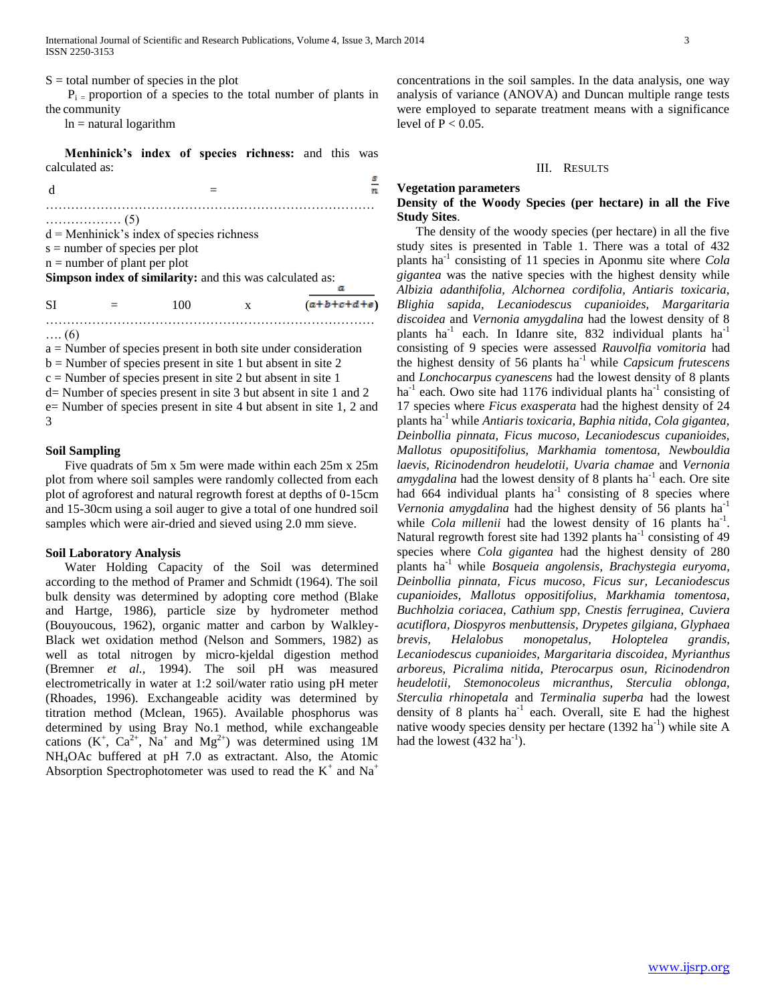$S =$  total number of species in the plot

 $P_i$  = proportion of a species to the total number of plants in the community

 $ln =$ natural logarithm

 **Menhinick's index of species richness:** and this was calculated as:

|    | . (5)                            |                                                          |   |               |
|----|----------------------------------|----------------------------------------------------------|---|---------------|
|    |                                  | $d =$ Menhinick's index of species richness              |   |               |
|    | $s =$ number of species per plot |                                                          |   |               |
|    | $n =$ number of plant per plot   |                                                          |   |               |
|    |                                  | Simpson index of similarity: and this was calculated as: |   |               |
|    |                                  |                                                          |   |               |
| SI |                                  | 100                                                      | X | $(a+b+c+d+e)$ |

…. (6)

a = Number of species present in both site under consideration  $b =$  Number of species present in site 1 but absent in site 2  $c =$ Number of species present in site 2 but absent in site 1

……………………………………………………………………

d= Number of species present in site 3 but absent in site 1 and 2 e= Number of species present in site 4 but absent in site 1, 2 and 3

## **Soil Sampling**

 Five quadrats of 5m x 5m were made within each 25m x 25m plot from where soil samples were randomly collected from each plot of agroforest and natural regrowth forest at depths of 0-15cm and 15-30cm using a soil auger to give a total of one hundred soil samples which were air-dried and sieved using 2.0 mm sieve.

## **Soil Laboratory Analysis**

 Water Holding Capacity of the Soil was determined according to the method of Pramer and Schmidt (1964). The soil bulk density was determined by adopting core method (Blake and Hartge, 1986), particle size by hydrometer method (Bouyoucous, 1962), organic matter and carbon by Walkley-Black wet oxidation method (Nelson and Sommers, 1982) as well as total nitrogen by micro-kjeldal digestion method (Bremner *et al.,* 1994). The soil pH was measured electrometrically in water at 1:2 soil/water ratio using pH meter (Rhoades, 1996). Exchangeable acidity was determined by titration method (Mclean, 1965). Available phosphorus was determined by using Bray No.1 method, while exchangeable cations  $(K^+, Ca^{2+}, Na^+$  and  $Mg^{2+})$  was determined using 1M NH4OAc buffered at pH 7.0 as extractant. Also, the Atomic Absorption Spectrophotometer was used to read the  $K^+$  and  $Na^+$ 

concentrations in the soil samples. In the data analysis, one way analysis of variance (ANOVA) and Duncan multiple range tests were employed to separate treatment means with a significance level of  $P < 0.05$ .

#### III. RESULTS

## **Vegetation parameters**

## **Density of the Woody Species (per hectare) in all the Five Study Sites**.

 The density of the woody species (per hectare) in all the five study sites is presented in Table 1. There was a total of 432 plants ha-1 consisting of 11 species in Aponmu site where *Cola gigantea* was the native species with the highest density while *Albizia adanthifolia, Alchornea cordifolia, Antiaris toxicaria, Blighia sapida, Lecaniodescus cupanioides, Margaritaria discoidea* and *Vernonia amygdalina* had the lowest density of 8 plants ha<sup>-1</sup> each. In Idanre site, 832 individual plants ha<sup>-1</sup> consisting of 9 species were assessed *Rauvolfia vomitoria* had the highest density of 56 plants ha-1 while *Capsicum frutescens*  and *Lonchocarpus cyanescens* had the lowest density of 8 plants ha<sup>-1</sup> each. Owo site had 1176 individual plants ha<sup>-1</sup> consisting of 17 species where *Ficus exasperata* had the highest density of 24 plants ha-1 while *Antiaris toxicaria, Baphia nitida, Cola gigantea, Deinbollia pinnata, Ficus mucoso, Lecaniodescus cupanioides, Mallotus opupositifolius, Markhamia tomentosa, Newbouldia laevis, Ricinodendron heudelotii, Uvaria chamae* and *Vernonia*  amygdalina had the lowest density of 8 plants ha<sup>-1</sup> each. Ore site had  $664$  individual plants ha<sup>-1</sup> consisting of 8 species where *Vernonia amygdalina* had the highest density of 56 plants ha<sup>-1</sup> while *Cola millenii* had the lowest density of 16 plants  $ha^{-1}$ . Natural regrowth forest site had 1392 plants ha<sup>-1</sup> consisting of 49 species where *Cola gigantea* had the highest density of 280 plants ha-1 while *Bosqueia angolensis*, *Brachystegia euryoma, Deinbollia pinnata, Ficus mucoso, Ficus sur, Lecaniodescus cupanioides, Mallotus oppositifolius, Markhamia tomentosa, Buchholzia coriacea*, *Cathium spp, Cnestis ferruginea, Cuviera acutiflora, Diospyros menbuttensis, Drypetes gilgiana, Glyphaea brevis, Helalobus monopetalus, Holoptelea grandis, Lecaniodescus cupanioides, Margaritaria discoidea*, *Myrianthus arboreus, Picralima nitida, Pterocarpus osun, Ricinodendron heudelotii, Stemonocoleus micranthus, Sterculia oblonga, Sterculia rhinopetala* and *Terminalia superba* had the lowest density of 8 plants  $ha^{-1}$  each. Overall, site E had the highest native woody species density per hectare (1392 ha<sup>-1</sup>) while site A had the lowest  $(432 \text{ ha}^{-1})$ .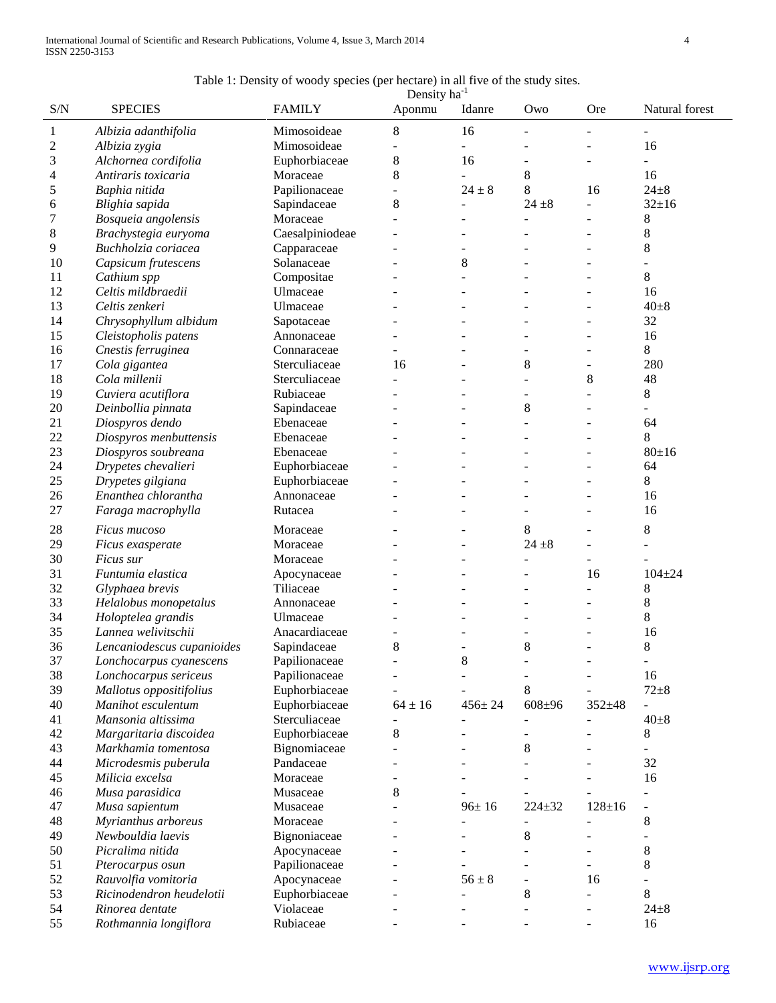## Table 1: Density of woody species (per hectare) in all five of the study sites.

|                |                                   |                 | Density ha <sup>-1</sup> |                          |                          |                          |                |
|----------------|-----------------------------------|-----------------|--------------------------|--------------------------|--------------------------|--------------------------|----------------|
| S/N            | <b>SPECIES</b>                    | <b>FAMILY</b>   | Aponmu                   | Idanre                   | Owo                      | <b>Ore</b>               | Natural forest |
| $\mathbf{1}$   | Albizia adanthifolia              | Mimosoideae     | 8                        | 16                       |                          |                          |                |
| $\overline{c}$ | Albizia zygia                     | Mimosoideae     |                          |                          |                          |                          | 16             |
| 3              | Alchornea cordifolia              | Euphorbiaceae   | 8                        | 16                       |                          | L,                       |                |
| 4              | Antiraris toxicaria               | Moraceae        | 8                        | $\overline{a}$           | 8                        |                          | 16             |
| 5              | Baphia nitida                     | Papilionaceae   | ÷                        | $24 \pm 8$               | 8                        | 16                       | $24 \pm 8$     |
| 6              | Blighia sapida                    | Sapindaceae     | 8                        | ÷.                       | $24 \pm 8$               | L.                       | $32+16$        |
| 7              | Bosqueia angolensis               | Moraceae        |                          |                          |                          | $\overline{\phantom{0}}$ | 8              |
| 8              | Brachystegia euryoma              | Caesalpiniodeae |                          |                          |                          | ÷                        | 8              |
| 9              | Buchholzia coriacea               | Capparaceae     |                          |                          |                          |                          | 8              |
| 10             | Capsicum frutescens               | Solanaceae      |                          | 8                        |                          |                          |                |
| 11             |                                   | Compositae      |                          |                          |                          |                          | 8              |
| 12             | Cathium spp<br>Celtis mildbraedii | Ulmaceae        |                          |                          |                          |                          | 16             |
| 13             | Celtis zenkeri                    |                 |                          |                          |                          |                          | $40\pm8$       |
|                |                                   | Ulmaceae        |                          |                          |                          |                          | 32             |
| 14<br>15       | Chrysophyllum albidum             | Sapotaceae      |                          |                          |                          |                          |                |
|                | Cleistopholis patens              | Annonaceae      |                          |                          |                          |                          | 16             |
| 16             | Cnestis ferruginea                | Connaraceae     |                          |                          |                          |                          | 8              |
| 17             | Cola gigantea                     | Sterculiaceae   | 16                       |                          | 8                        | $\overline{a}$           | 280            |
| 18             | Cola millenii                     | Sterculiaceae   |                          |                          |                          | 8                        | 48             |
| 19             | Cuviera acutiflora                | Rubiaceae       |                          |                          |                          |                          | 8              |
| 20             | Deinbollia pinnata                | Sapindaceae     |                          |                          | $\,8\,$                  |                          |                |
| 21             | Diospyros dendo                   | Ebenaceae       |                          |                          |                          |                          | 64             |
| 22             | Diospyros menbuttensis            | Ebenaceae       |                          |                          |                          |                          | 8              |
| 23             | Diospyros soubreana               | Ebenaceae       |                          |                          |                          |                          | 80±16          |
| 24             | Drypetes chevalieri               | Euphorbiaceae   |                          |                          |                          |                          | 64             |
| 25             | Drypetes gilgiana                 | Euphorbiaceae   |                          |                          |                          |                          | 8              |
| 26             | Enanthea chlorantha               | Annonaceae      |                          |                          |                          |                          | 16             |
| 27             | Faraga macrophylla                | Rutacea         |                          |                          |                          | ÷                        | 16             |
| 28             | Ficus mucoso                      | Moraceae        |                          |                          | 8                        |                          | 8              |
| 29             | Ficus exasperate                  | Moraceae        |                          |                          | $24 + 8$                 | ÷.                       | $\overline{a}$ |
| 30             | Ficus sur                         | Moraceae        |                          |                          | ÷,                       | ÷,                       | $\blacksquare$ |
| 31             | Funtumia elastica                 | Apocynaceae     |                          |                          |                          | 16                       | $104 + 24$     |
| 32             | Glyphaea brevis                   | Tiliaceae       |                          |                          |                          | ÷                        | 8              |
| 33             | Helalobus monopetalus             | Annonaceae      |                          |                          |                          | ÷                        | 8              |
| 34             | Holoptelea grandis                | Ulmaceae        |                          |                          |                          | L,                       | 8              |
| 35             | Lannea welivitschii               | Anacardiaceae   |                          |                          |                          |                          | 16             |
| 36             | Lencaniodescus cupanioides        | Sapindaceae     | 8                        |                          | 8                        | ÷                        | 8              |
| 37             | Lonchocarpus cyanescens           | Papilionaceae   |                          | $\,$ 8 $\,$              |                          |                          | $\blacksquare$ |
| 38             | Lonchocarpus sericeus             | Papilionaceae   |                          |                          |                          |                          | 16             |
| 39             | Mallotus oppositifolius           | Euphorbiaceae   |                          |                          | 8                        |                          | $72 + 8$       |
| 40             | Manihot esculentum                | Euphorbiaceae   | $64 \pm 16$              | $456 \pm 24$             | $608 + 96$               | $352 + 48$               | $\overline{a}$ |
| 41             | Mansonia altissima                | Sterculiaceae   |                          | $\overline{\phantom{a}}$ | $\overline{\phantom{a}}$ |                          | $40\pm8$       |
| 42             | Margaritaria discoidea            | Euphorbiaceae   | 8                        |                          |                          |                          | 8              |
| 43             | Markhamia tomentosa               | Bignomiaceae    |                          |                          | 8                        |                          | $\blacksquare$ |
| 44             | Microdesmis puberula              | Pandaceae       |                          |                          |                          |                          | 32             |
| 45             | Milicia excelsa                   | Moraceae        |                          |                          |                          |                          | 16             |
| 46             | Musa parasidica                   | Musaceae        | 8                        |                          |                          |                          |                |
| 47             | Musa sapientum                    | Musaceae        |                          | $96 \pm 16$              | $224 \pm 32$             | $128 + 16$               | $\overline{a}$ |
| 48             | Myrianthus arboreus               | Moraceae        |                          |                          | $\overline{\phantom{a}}$ |                          | 8              |
| 49             | Newbouldia laevis                 | Bignoniaceae    |                          |                          | 8                        |                          | $\blacksquare$ |
| 50             | Picralima nitida                  | Apocynaceae     |                          |                          |                          | ÷,                       | 8              |
| 51             | Pterocarpus osun                  | Papilionaceae   |                          |                          |                          | ä,                       | 8              |
| 52             | Rauvolfia vomitoria               | Apocynaceae     |                          | $56 \pm 8$               | $\blacksquare$           | 16                       |                |
| 53             | Ricinodendron heudelotii          | Euphorbiaceae   |                          |                          | $\,8\,$                  |                          | 8              |
| 54             | Rinorea dentate                   | Violaceae       |                          |                          |                          |                          | $24 \pm 8$     |
| 55             | Rothmannia longiflora             | Rubiaceae       |                          |                          |                          |                          | 16             |
|                |                                   |                 |                          |                          |                          |                          |                |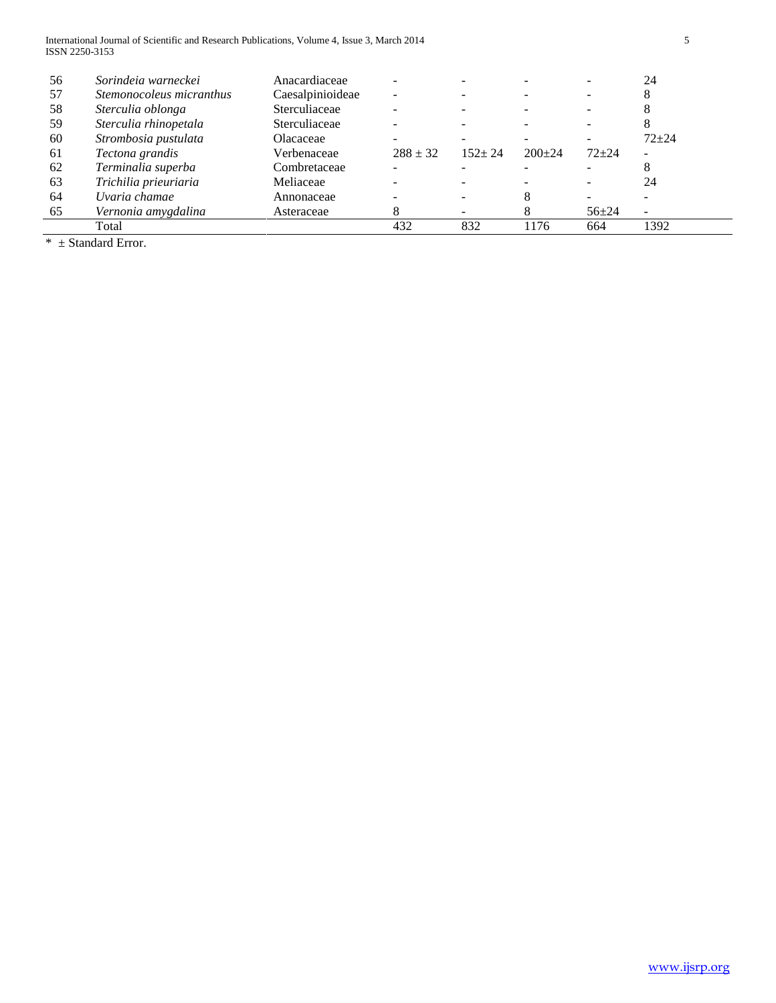International Journal of Scientific and Research Publications, Volume 4, Issue 3, March 2014 5 ISSN 2250-3153

| 56 | Sorindeia warneckei      | Anacardiaceae    |              |            |          |           | 24                       |
|----|--------------------------|------------------|--------------|------------|----------|-----------|--------------------------|
| 57 | Stemonocoleus micranthus | Caesalpinioideae | -            |            |          |           |                          |
| 58 | Sterculia oblonga        | Sterculiaceae    |              |            |          |           |                          |
| 59 | Sterculia rhinopetala    | Sterculiaceae    |              |            |          |           |                          |
| 60 | Strombosia pustulata     | Olacaceae        | -            |            |          |           | $72 + 24$                |
| 61 | Tectona grandis          | Verbenaceae      | $288 \pm 32$ | $152 + 24$ | $200+24$ | $72 + 24$ | $\overline{\phantom{a}}$ |
| 62 | Terminalia superba       | Combretaceae     |              |            |          |           |                          |
| 63 | Trichilia prieuriaria    | Meliaceae        |              |            |          |           | 24                       |
| 64 | Uvaria chamae            | Annonaceae       |              |            |          |           |                          |
| 65 | Vernonia amygdalina      | Asteraceae       | δ            |            |          | $56 + 24$ | $\overline{\phantom{0}}$ |
|    | Total                    |                  | 432          | 832        | 176      | 664       | 1392                     |

 $*$   $\pm$  Standard Error.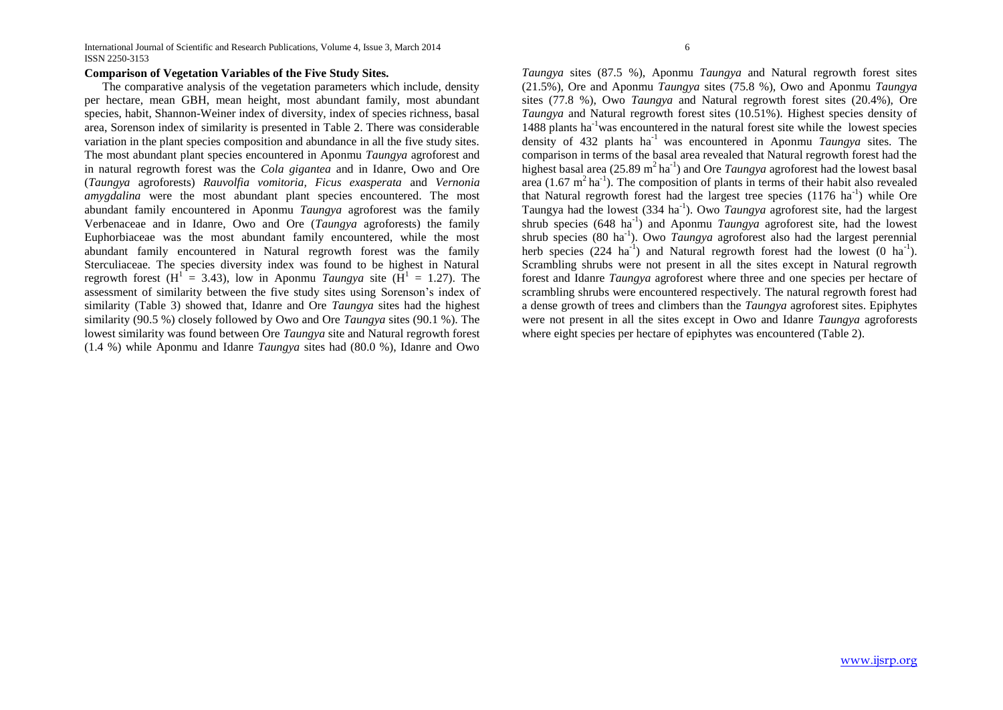International Journal of Scientific and Research Publications, Volume 4, Issue 3, March 2014 6 ISSN 2250-3153

## **Comparison of Vegetation Variables of the Five Study Sites.**

 The comparative analysis of the vegetation parameters which include, density per hectare, mean GBH, mean height, most abundant family, most abundant species, habit, Shannon-Weiner index of diversity, index of species richness, basal area, Sorenson index of similarity is presented in Table 2. There was considerable variation in the plant species composition and abundance in all the five study sites. The most abundant plant species encountered in Aponmu *Taungya* agroforest and in natural regrowth forest was the *Cola gigantea* and in Idanre, Owo and Ore (*Taungya* agroforests) *Rauvolfia vomitoria, Ficus exasperata* and *Vernonia amygdalina* were the most abundant plant species encountered. The most abundant family encountered in Aponmu *Taungya* agroforest was the family Verbenaceae and in Idanre, Owo and Ore (*Taungya* agroforests) the family Euphorbiaceae was the most abundant family encountered, while the most abundant family encountered in Natural regrowth forest was the family Sterculiaceae*.* The species diversity index was found to be highest in Natural regrowth forest (H<sup>1</sup> = 3.43), low in Aponmu *Taungya* site (H<sup>1</sup> = 1.27). The assessment of similarity between the five study sites using Sorenson's index of similarity (Table 3) showed that, Idanre and Ore *Taungya* sites had the highest similarity (90.5 %) closely followed by Owo and Ore *Taungya* sites (90.1 %). The lowest similarity was found between Ore *Taungya* site and Natural regrowth forest (1.4 %) while Aponmu and Idanre *Taungya* sites had (80.0 %), Idanre and Owo

*Taungya* sites (87.5 %), Aponmu *Taungya* and Natural regrowth forest sites (21.5%), Ore and Aponmu *Taungya* sites (75.8 %), Owo and Aponmu *Taungya* sites (77.8 %), Owo *Taungya* and Natural regrowth forest sites (20.4%), Ore *Taungya* and Natural regrowth forest sites (10.51%). Highest species density of 1488 plants ha-1was encountered in the natural forest site while the lowest species density of 432 plants ha-1 was encountered in Aponmu *Taungya* sites. The comparison in terms of the basal area revealed that Natural regrowth forest had the highest basal area (25.89 m<sup>2</sup> ha<sup>-1</sup>) and Ore *Taungya* agroforest had the lowest basal area  $(1.67 \text{ m}^2 \text{ ha}^{-1})$ . The composition of plants in terms of their habit also revealed that Natural regrowth forest had the largest tree species  $(1176 \text{ ha}^{-1})$  while Ore Taungya had the lowest (334 ha<sup>-1</sup>). Owo *Taungya* agroforest site, had the largest shrub species (648 ha<sup>-1</sup>) and Aponmu *Taungya* agroforest site, had the lowest shrub species (80 ha<sup>-1</sup>). Owo *Taungya* agroforest also had the largest perennial herb species  $(224 \text{ ha}^{-1})$  and Natural regrowth forest had the lowest  $(0 \text{ ha}^{-1})$ . Scrambling shrubs were not present in all the sites except in Natural regrowth forest and Idanre *Taungya* agroforest where three and one species per hectare of scrambling shrubs were encountered respectively. The natural regrowth forest had a dense growth of trees and climbers than the *Taungya* agroforest sites. Epiphytes were not present in all the sites except in Owo and Idanre *Taungya* agroforests where eight species per hectare of epiphytes was encountered (Table 2).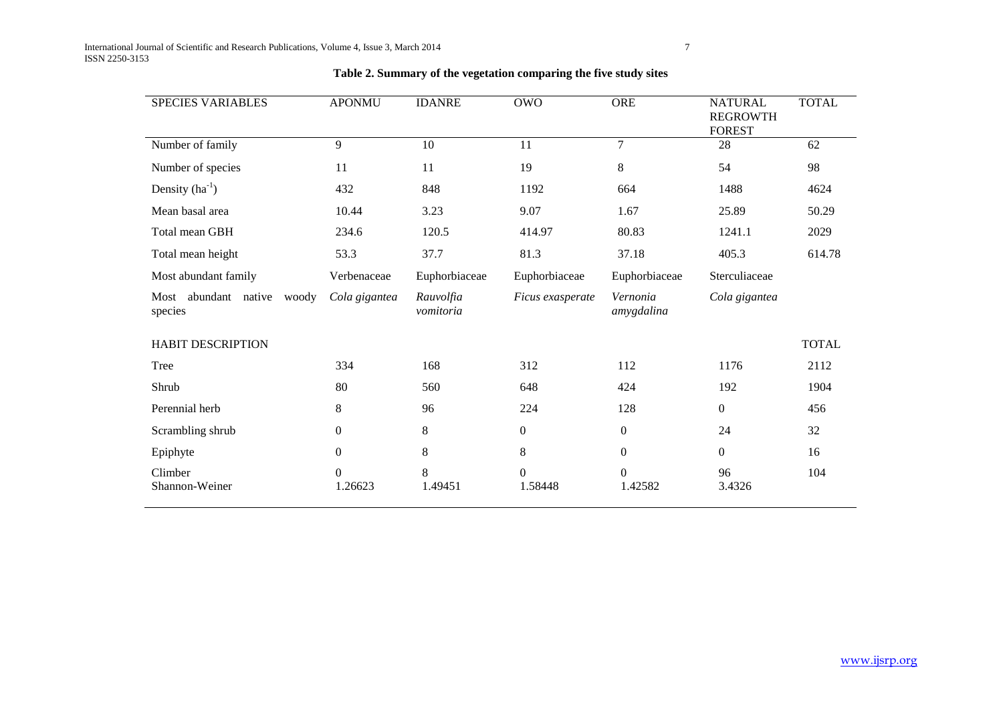| <b>SPECIES VARIABLES</b>                 | <b>APONMU</b>             | <b>IDANRE</b>          | <b>OWO</b>          | <b>ORE</b>                | <b>NATURAL</b><br><b>REGROWTH</b><br><b>FOREST</b> | <b>TOTAL</b> |
|------------------------------------------|---------------------------|------------------------|---------------------|---------------------------|----------------------------------------------------|--------------|
| Number of family                         | 9                         | 10                     | 11                  | 7                         | 28                                                 | 62           |
| Number of species                        | 11                        | 11                     | 19                  | 8                         | 54                                                 | 98           |
| Density $(ha^{-1})$                      | 432                       | 848                    | 1192                | 664                       | 1488                                               | 4624         |
| Mean basal area                          | 10.44                     | 3.23                   | 9.07                | 1.67                      | 25.89                                              | 50.29        |
| Total mean GBH                           | 234.6                     | 120.5                  | 414.97              | 80.83                     | 1241.1                                             | 2029         |
| Total mean height                        | 53.3                      | 37.7                   | 81.3                | 37.18                     | 405.3                                              | 614.78       |
| Most abundant family                     | Verbenaceae               | Euphorbiaceae          | Euphorbiaceae       | Euphorbiaceae             | Sterculiaceae                                      |              |
| Most abundant native<br>woody<br>species | Cola gigantea             | Rauvolfia<br>vomitoria | Ficus exasperate    | Vernonia<br>amygdalina    | Cola gigantea                                      |              |
| <b>HABIT DESCRIPTION</b>                 |                           |                        |                     |                           |                                                    | <b>TOTAL</b> |
| Tree                                     | 334                       | 168                    | 312                 | 112                       | 1176                                               | 2112         |
| Shrub                                    | 80                        | 560                    | 648                 | 424                       | 192                                                | 1904         |
| Perennial herb                           | 8                         | 96                     | 224                 | 128                       | $\overline{0}$                                     | 456          |
| Scrambling shrub                         | $\boldsymbol{0}$          | 8                      | $\boldsymbol{0}$    | $\mathbf{0}$              | 24                                                 | 32           |
| Epiphyte                                 | $\boldsymbol{0}$          | 8                      | 8                   | $\mathbf{0}$              | $\mathbf{0}$                                       | 16           |
| Climber<br>Shannon-Weiner                | $\overline{0}$<br>1.26623 | 8<br>1.49451           | $\Omega$<br>1.58448 | $\overline{0}$<br>1.42582 | 96<br>3.4326                                       | 104          |

## **Table 2. Summary of the vegetation comparing the five study sites**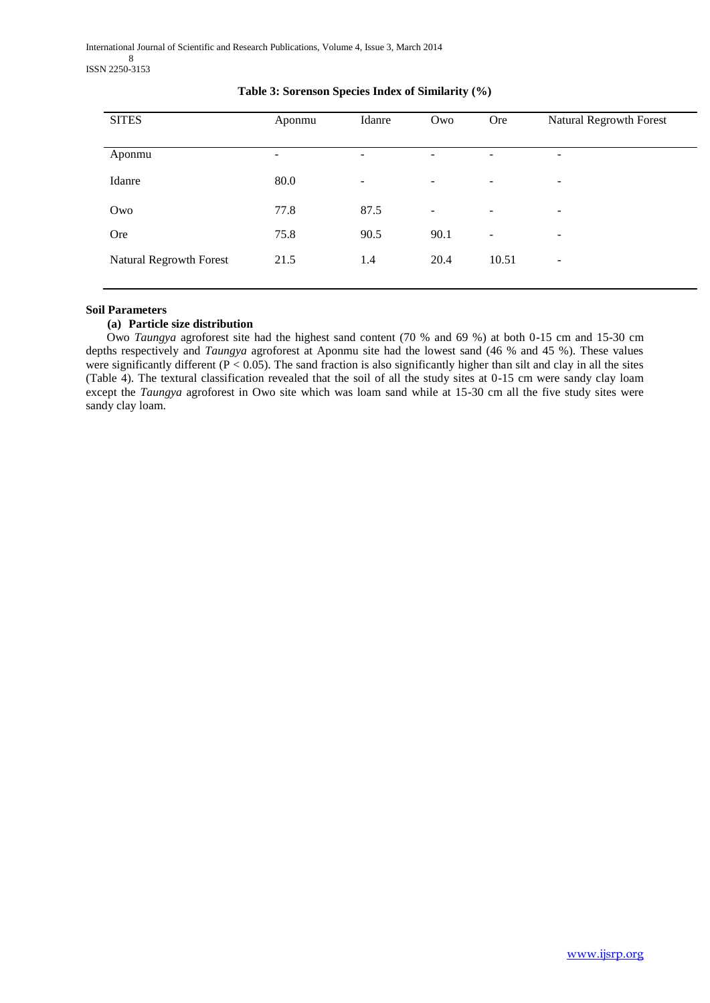International Journal of Scientific and Research Publications, Volume 4, Issue 3, March 2014 8 ISSN 2250-3153

| <b>SITES</b>            | Aponmu | Idanre                   | Owo                      | Ore                      | Natural Regrowth Forest  |
|-------------------------|--------|--------------------------|--------------------------|--------------------------|--------------------------|
|                         |        |                          |                          |                          |                          |
| Aponmu                  | -      | -                        | ۰                        | -                        | $\overline{\phantom{a}}$ |
| Idanre                  | 80.0   | $\overline{\phantom{a}}$ | $\overline{\phantom{a}}$ | $\overline{\phantom{a}}$ | -                        |
| Owo                     | 77.8   | 87.5                     | $\overline{\phantom{a}}$ | -                        | $\overline{\phantom{a}}$ |
| Ore                     | 75.8   | 90.5                     | 90.1                     | -                        | $\overline{\phantom{a}}$ |
| Natural Regrowth Forest | 21.5   | 1.4                      | 20.4                     | 10.51                    | $\overline{\phantom{a}}$ |
|                         |        |                          |                          |                          |                          |

## **Table 3: Sorenson Species Index of Similarity (%)**

## **Soil Parameters**

## **(a) Particle size distribution**

 Owo *Taungya* agroforest site had the highest sand content (70 % and 69 %) at both 0-15 cm and 15-30 cm depths respectively and *Taungya* agroforest at Aponmu site had the lowest sand (46 % and 45 %). These values were significantly different ( $P < 0.05$ ). The sand fraction is also significantly higher than silt and clay in all the sites (Table 4). The textural classification revealed that the soil of all the study sites at 0-15 cm were sandy clay loam except the *Taungya* agroforest in Owo site which was loam sand while at 15-30 cm all the five study sites were sandy clay loam.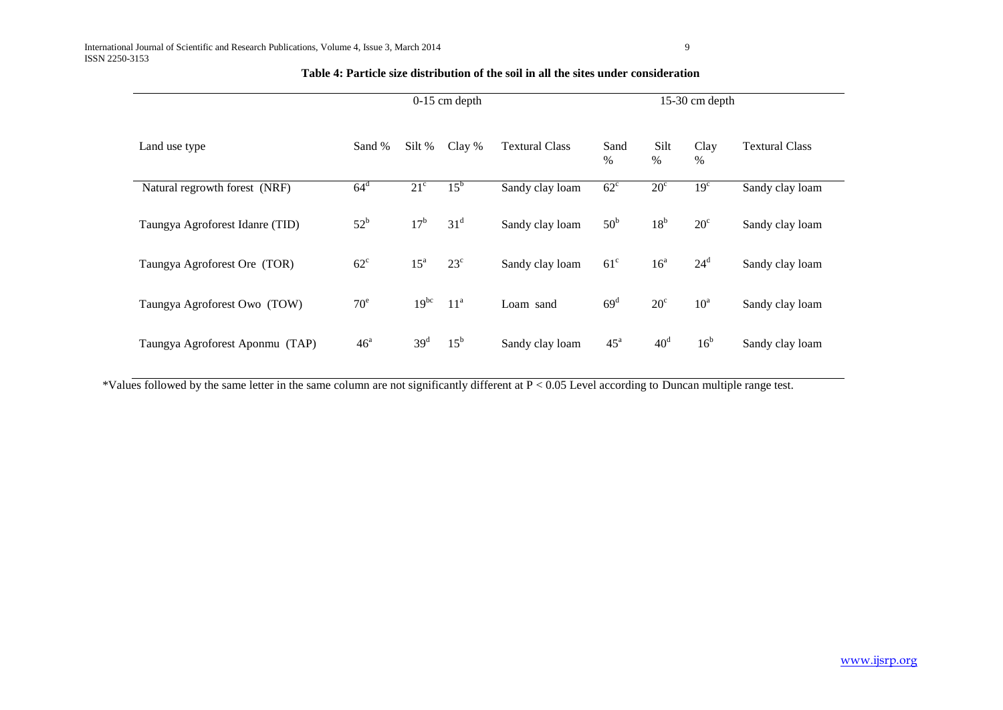|               |                                 | $0-15$ cm depth            |                   |                       |                                              | $15-30$ cm depth |                 |                       |                 |  |
|---------------|---------------------------------|----------------------------|-------------------|-----------------------|----------------------------------------------|------------------|-----------------|-----------------------|-----------------|--|
| Land use type |                                 | Silt %<br>Clay %<br>Sand % |                   | <b>Textural Class</b> | Silt<br>Clay<br>Sand<br>$\%$<br>$\%$<br>$\%$ |                  |                 | <b>Textural Class</b> |                 |  |
|               | Natural regrowth forest (NRF)   | $64^d$                     | $21^{\circ}$      | $15^{\rm b}$          | Sandy clay loam                              | $62^{\circ}$     | $20^{\circ}$    | 19 <sup>c</sup>       | Sandy clay loam |  |
|               | Taungya Agroforest Idanre (TID) | $52^{\rm b}$               | 17 <sup>b</sup>   | 31 <sup>d</sup>       | Sandy clay loam                              | 50 <sup>b</sup>  | 18 <sup>b</sup> | $20^{\circ}$          | Sandy clay loam |  |
|               | Taungya Agroforest Ore (TOR)    | $62^{\circ}$               | $15^{\mathrm{a}}$ | $23^{\circ}$          | Sandy clay loam                              | $61^{\circ}$     | 16 <sup>a</sup> | $24^d$                | Sandy clay loam |  |
|               | Taungya Agroforest Owo (TOW)    | 70 <sup>e</sup>            | $19^{bc}$         | 11 <sup>a</sup>       | Loam sand                                    | 69 <sup>d</sup>  | $20^{\circ}$    | $10^a$                | Sandy clay loam |  |
|               | Taungya Agroforest Aponmu (TAP) | 46 <sup>a</sup>            | 39 <sup>d</sup>   | $15^{\rm b}$          | Sandy clay loam                              | 45 <sup>a</sup>  | 40 <sup>d</sup> | 16 <sup>b</sup>       | Sandy clay loam |  |

## **Table 4: Particle size distribution of the soil in all the sites under consideration**

\*Values followed by the same letter in the same column are not significantly different at P < 0.05 Level according to Duncan multiple range test.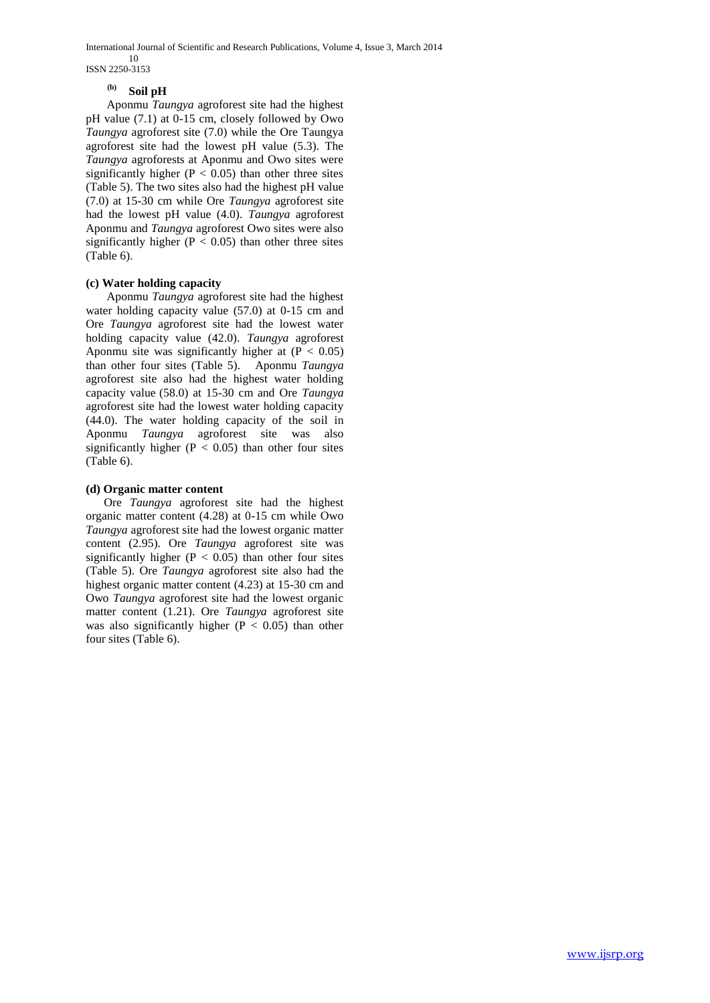International Journal of Scientific and Research Publications, Volume 4, Issue 3, March 2014 10 ISSN 2250-3153

# **(b) Soil pH**

 Aponmu *Taungya* agroforest site had the highest pH value (7.1) at 0-15 cm, closely followed by Owo *Taungya* agroforest site (7.0) while the Ore Taungya agroforest site had the lowest pH value (5.3). The *Taungya* agroforests at Aponmu and Owo sites were significantly higher ( $P < 0.05$ ) than other three sites (Table 5). The two sites also had the highest pH value (7.0) at 15-30 cm while Ore *Taungya* agroforest site had the lowest pH value (4.0). *Taungya* agroforest Aponmu and *Taungya* agroforest Owo sites were also significantly higher ( $P < 0.05$ ) than other three sites (Table 6).

## **(c) Water holding capacity**

 Aponmu *Taungya* agroforest site had the highest water holding capacity value (57.0) at 0-15 cm and Ore *Taungya* agroforest site had the lowest water holding capacity value (42.0). *Taungya* agroforest Aponmu site was significantly higher at  $(P < 0.05)$ than other four sites (Table 5). Aponmu *Taungya* agroforest site also had the highest water holding capacity value (58.0) at 15-30 cm and Ore *Taungya* agroforest site had the lowest water holding capacity (44.0). The water holding capacity of the soil in Aponmu *Taungya* agroforest site was also significantly higher ( $P < 0.05$ ) than other four sites (Table 6).

## **(d) Organic matter content**

 Ore *Taungya* agroforest site had the highest organic matter content (4.28) at 0-15 cm while Owo *Taungya* agroforest site had the lowest organic matter content (2.95). Ore *Taungya* agroforest site was significantly higher ( $P < 0.05$ ) than other four sites (Table 5). Ore *Taungya* agroforest site also had the highest organic matter content (4.23) at 15-30 cm and Owo *Taungya* agroforest site had the lowest organic matter content (1.21). Ore *Taungya* agroforest site was also significantly higher ( $P < 0.05$ ) than other four sites (Table 6).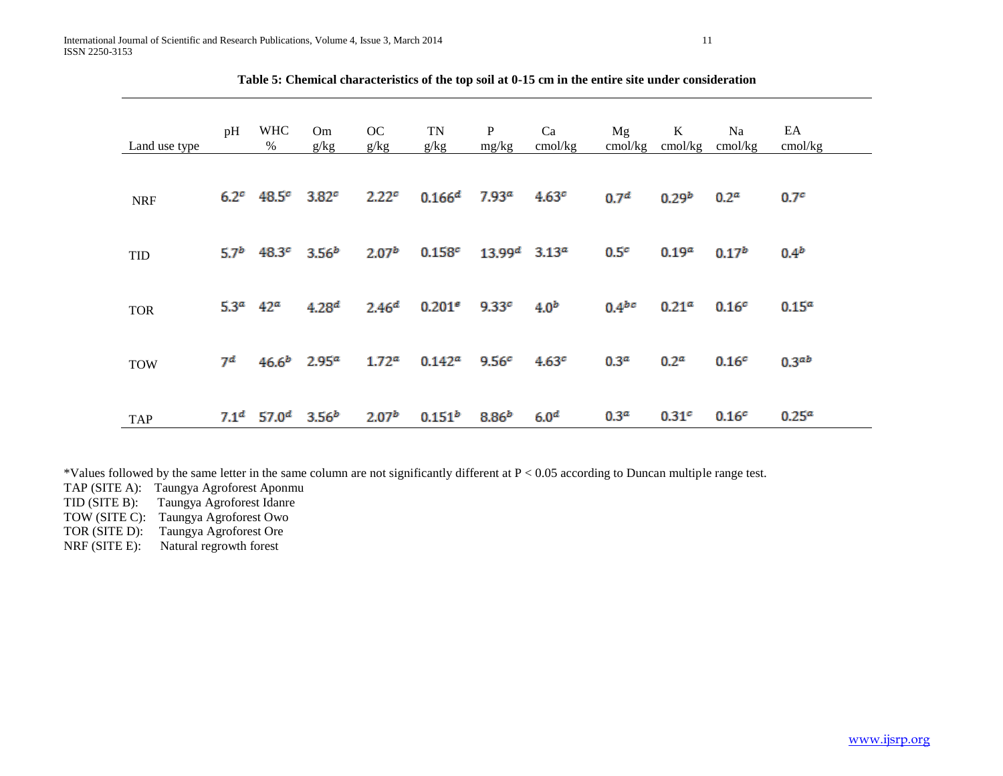| Land use type | pH               | <b>WHC</b><br>$\%$          | Om<br>g/kg                | OC<br>g/kg        | TN<br>g/kg         | $\mathbf{P}$<br>mg/kg       | Ca<br>cmol/kg     | Mg<br>cmol/kg    | $\bf K$<br>cmol/kg | Na<br>cmol/kg     | EA<br>cmol/kg     |
|---------------|------------------|-----------------------------|---------------------------|-------------------|--------------------|-----------------------------|-------------------|------------------|--------------------|-------------------|-------------------|
| <b>NRF</b>    |                  | $6.2^c$ 48.5 $^c$ 3.82 $^c$ |                           | 2.22 <sup>c</sup> | 0.166 <sup>d</sup> | 7.93 <sup>a</sup>           | 4.63 <sup>c</sup> | 0.7 <sup>d</sup> | 0.29 <sup>b</sup>  | 0.2 <sup>a</sup>  | 0.7 <sup>c</sup>  |
| <b>TID</b>    | 5.7 <sup>b</sup> | 48.3 <sup>c</sup>           | 3.56 <sup>b</sup>         | 2.07 <sup>b</sup> | 0.158c             | $13.99^d$ 3.13 <sup>a</sup> |                   | 0.5 <sup>c</sup> | 0.19 <sup>a</sup>  | $0.17^{b}$        | 0.4 <sup>b</sup>  |
| <b>TOR</b>    | 5.3 <sup>a</sup> | $42^a$                      | 4.28 <sup>d</sup>         | 2.46 <sup>d</sup> | 0.201 <sup>e</sup> | 9.33c                       | 4.0 <sup>b</sup>  | $0.4^{bc}$       | 0.21 <sup>a</sup>  | 0.16 <sup>c</sup> | 0.15 <sup>a</sup> |
| <b>TOW</b>    | 7 <sup>d</sup>   |                             | $46.6b$ 2.95 <sup>a</sup> | 1.72 <sup>a</sup> | $0.142^a$          | 9.56 <sup>c</sup>           | 4.63 <sup>c</sup> | 0.3 <sup>a</sup> | 0.2 <sup>a</sup>   | 0.16 <sup>c</sup> | 0.3 <sup>ab</sup> |
| <b>TAP</b>    | 7.1 <sup>d</sup> | 57.0 $^d$                   | 3.56 <sup>b</sup>         | 2.07 <sup>b</sup> | $0.151^{b}$        | 8.86 <sup>b</sup>           | 6.0 <sup>d</sup>  | 0.3 <sup>a</sup> | 0.31 <sup>c</sup>  | 0.16 <sup>c</sup> | 0.25 <sup>a</sup> |

**Table 5: Chemical characteristics of the top soil at 0-15 cm in the entire site under consideration**

\*Values followed by the same letter in the same column are not significantly different at P < 0.05 according to Duncan multiple range test.

TAP (SITE A): Taungya Agroforest Aponmu

Taungya Agroforest Idanre

TOW (SITE C): Taungya Agroforest Owo

TOR (SITE D): Taungya Agroforest Ore

NRF (SITE E): Natural regrowth forest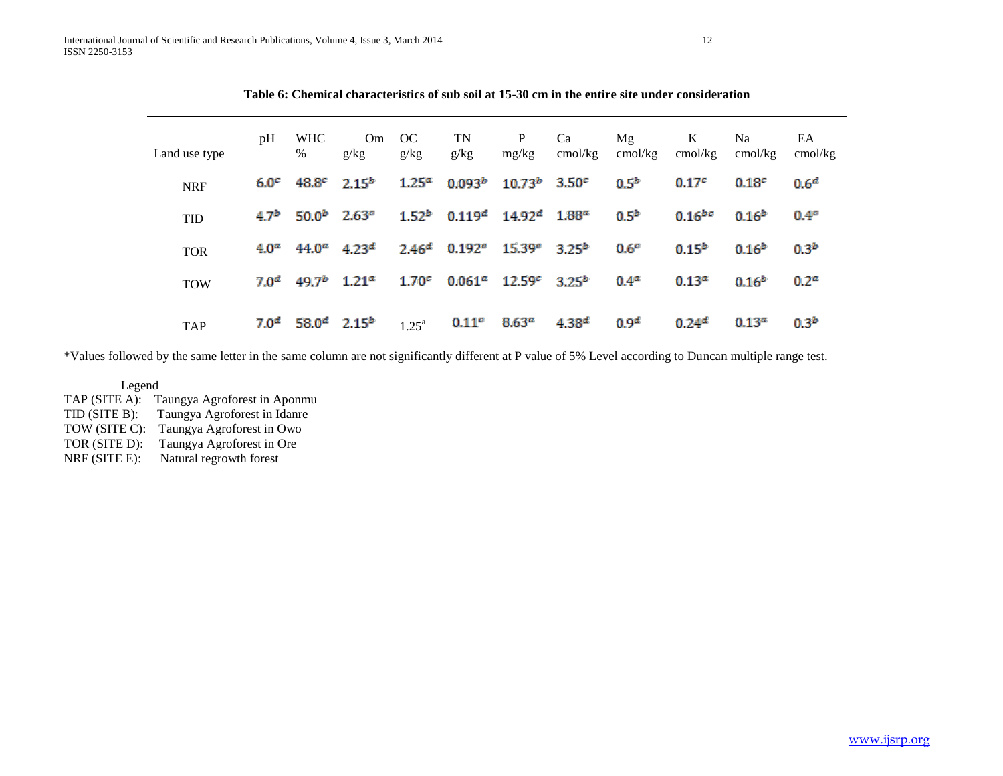| Land use type | pH               | <b>WHC</b><br>%                             | Om.<br>g/kg | OC<br>g/kg        | TN<br>g/kg                                                       | P<br>mg/kg           | Ca<br>cmol/kg | Mg<br>cmol/kg    | K<br>cmol/kg         | Na<br>$\text{cmol/kg}$ | EA<br>cmol/kg    |
|---------------|------------------|---------------------------------------------|-------------|-------------------|------------------------------------------------------------------|----------------------|---------------|------------------|----------------------|------------------------|------------------|
| <b>NRF</b>    | 6.0 <sup>c</sup> | $48.8^c$ $2.15^b$                           |             |                   | $1.25^a$ 0.093 <sup>b</sup> 10.73 <sup>b</sup> 3.50 <sup>c</sup> |                      |               | $0.5^{b}$        | 0.17 <sup>c</sup>    | 0.18 <sup>c</sup>      | 0.6 <sup>d</sup> |
| <b>TID</b>    | 4.7 <sup>b</sup> | $50.0^b$ 2.63 <sup>c</sup>                  |             |                   | $1.52b$ 0.119 <sup>d</sup> 14.92 <sup>d</sup> 1.88 <sup>a</sup>  |                      |               | $0.5^{b}$        | $0.16$ <sup>bc</sup> | $0.16^{b}$             | 0.4 <sup>c</sup> |
| <b>TOR</b>    | 4.0 <sup>a</sup> | $44.0^a$ $4.23^d$                           |             |                   | $2.46^d$ 0.192 <sup>e</sup> 15.39 <sup>e</sup> 3.25 <sup>b</sup> |                      |               | 0.6 <sup>c</sup> | $0.15^{b}$           | $0.16^{b}$             | 0.3 <sup>b</sup> |
| <b>TOW</b>    | 7.0 <sup>d</sup> | 49.7 <sup>b</sup> 1.21 <sup>a</sup>         |             | 1.70 <sup>c</sup> |                                                                  | $0.061^a$ 12.59 $^c$ | $3.25^{b}$    | 0.4 <sup>a</sup> | $0.13^{a}$           | $0.16^{b}$             | 0.2 <sup>a</sup> |
| <b>TAP</b>    |                  | $7.0^d$ 58.0 <sup>d</sup> 2.15 <sup>b</sup> |             | $1.25^{\text{a}}$ | 0.11 <sup>c</sup>                                                | 8.63 <sup>a</sup>    | $4.38^{d}$    | 0.9 <sup>d</sup> | 0.24 <sup>d</sup>    | 0.13 <sup>a</sup>      | 0.3 <sup>b</sup> |

**Table 6: Chemical characteristics of sub soil at 15-30 cm in the entire site under consideration**

\*Values followed by the same letter in the same column are not significantly different at P value of 5% Level according to Duncan multiple range test.

Legend

TAP (SITE A): Taungya Agroforest in Aponmu TID (SITE B): Taungya Agroforest in Idanre TOW (SITE C): Taungya Agroforest in Owo TOR (SITE D): Taungya Agroforest in Ore NRF (SITE E): Natural regrowth forest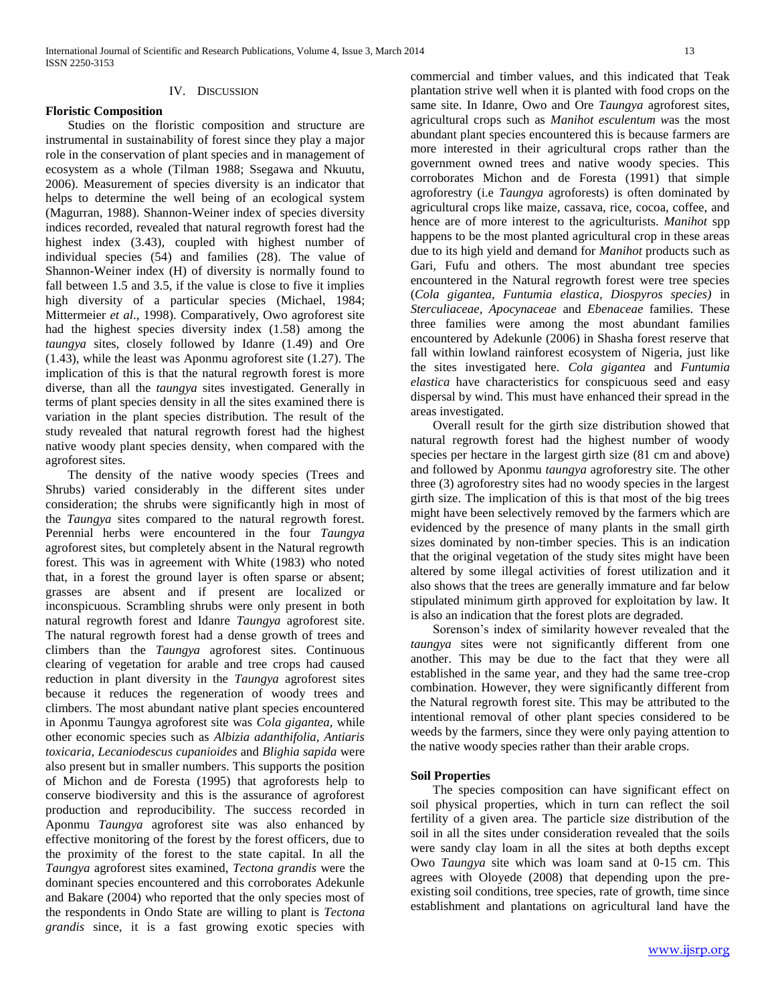## IV. DISCUSSION

## **Floristic Composition**

 Studies on the floristic composition and structure are instrumental in sustainability of forest since they play a major role in the conservation of plant species and in management of ecosystem as a whole (Tilman 1988; Ssegawa and Nkuutu, 2006). Measurement of species diversity is an indicator that helps to determine the well being of an ecological system (Magurran, 1988). Shannon-Weiner index of species diversity indices recorded, revealed that natural regrowth forest had the highest index (3.43), coupled with highest number of individual species (54) and families (28). The value of Shannon-Weiner index (H) of diversity is normally found to fall between 1.5 and 3.5, if the value is close to five it implies high diversity of a particular species (Michael, 1984; Mittermeier *et al*., 1998). Comparatively, Owo agroforest site had the highest species diversity index (1.58) among the *taungya* sites, closely followed by Idanre (1.49) and Ore (1.43), while the least was Aponmu agroforest site (1.27). The implication of this is that the natural regrowth forest is more diverse, than all the *taungya* sites investigated. Generally in terms of plant species density in all the sites examined there is variation in the plant species distribution. The result of the study revealed that natural regrowth forest had the highest native woody plant species density, when compared with the agroforest sites.

 The density of the native woody species (Trees and Shrubs) varied considerably in the different sites under consideration; the shrubs were significantly high in most of the *Taungya* sites compared to the natural regrowth forest. Perennial herbs were encountered in the four *Taungya* agroforest sites, but completely absent in the Natural regrowth forest. This was in agreement with White (1983) who noted that, in a forest the ground layer is often sparse or absent; grasses are absent and if present are localized or inconspicuous. Scrambling shrubs were only present in both natural regrowth forest and Idanre *Taungya* agroforest site. The natural regrowth forest had a dense growth of trees and climbers than the *Taungya* agroforest sites. Continuous clearing of vegetation for arable and tree crops had caused reduction in plant diversity in the *Taungya* agroforest sites because it reduces the regeneration of woody trees and climbers. The most abundant native plant species encountered in Aponmu Taungya agroforest site was *Cola gigantea,* while other economic species such as *Albizia adanthifolia, Antiaris toxicaria, Lecaniodescus cupanioides* and *Blighia sapida* were also present but in smaller numbers. This supports the position of Michon and de Foresta (1995) that agroforests help to conserve biodiversity and this is the assurance of agroforest production and reproducibility. The success recorded in Aponmu *Taungya* agroforest site was also enhanced by effective monitoring of the forest by the forest officers, due to the proximity of the forest to the state capital. In all the *Taungya* agroforest sites examined, *Tectona grandis* were the dominant species encountered and this corroborates Adekunle and Bakare (2004) who reported that the only species most of the respondents in Ondo State are willing to plant is *Tectona grandis* since, it is a fast growing exotic species with

commercial and timber values, and this indicated that Teak plantation strive well when it is planted with food crops on the same site. In Idanre, Owo and Ore *Taungya* agroforest sites, agricultural crops such as *Manihot esculentum w*as the most abundant plant species encountered this is because farmers are more interested in their agricultural crops rather than the government owned trees and native woody species. This corroborates Michon and de Foresta (1991) that simple agroforestry (i.e *Taungya* agroforests) is often dominated by agricultural crops like maize, cassava, rice, cocoa, coffee, and hence are of more interest to the agriculturists. *Manihot* spp happens to be the most planted agricultural crop in these areas due to its high yield and demand for *Manihot* products such as Gari, Fufu and others. The most abundant tree species encountered in the Natural regrowth forest were tree species (*Cola gigantea, Funtumia elastica, Diospyros species)* in *Sterculiaceae, Apocynaceae* and *Ebenaceae* families. These three families were among the most abundant families encountered by Adekunle (2006) in Shasha forest reserve that fall within lowland rainforest ecosystem of Nigeria, just like the sites investigated here. *Cola gigantea* and *Funtumia elastica* have characteristics for conspicuous seed and easy dispersal by wind. This must have enhanced their spread in the areas investigated.

 Overall result for the girth size distribution showed that natural regrowth forest had the highest number of woody species per hectare in the largest girth size (81 cm and above) and followed by Aponmu *taungya* agroforestry site. The other three (3) agroforestry sites had no woody species in the largest girth size. The implication of this is that most of the big trees might have been selectively removed by the farmers which are evidenced by the presence of many plants in the small girth sizes dominated by non-timber species. This is an indication that the original vegetation of the study sites might have been altered by some illegal activities of forest utilization and it also shows that the trees are generally immature and far below stipulated minimum girth approved for exploitation by law. It is also an indication that the forest plots are degraded.

 Sorenson's index of similarity however revealed that the *taungya* sites were not significantly different from one another. This may be due to the fact that they were all established in the same year, and they had the same tree-crop combination. However, they were significantly different from the Natural regrowth forest site. This may be attributed to the intentional removal of other plant species considered to be weeds by the farmers, since they were only paying attention to the native woody species rather than their arable crops.

## **Soil Properties**

 The species composition can have significant effect on soil physical properties, which in turn can reflect the soil fertility of a given area. The particle size distribution of the soil in all the sites under consideration revealed that the soils were sandy clay loam in all the sites at both depths except Owo *Taungya* site which was loam sand at 0-15 cm. This agrees with Oloyede (2008) that depending upon the preexisting soil conditions, tree species, rate of growth, time since establishment and plantations on agricultural land have the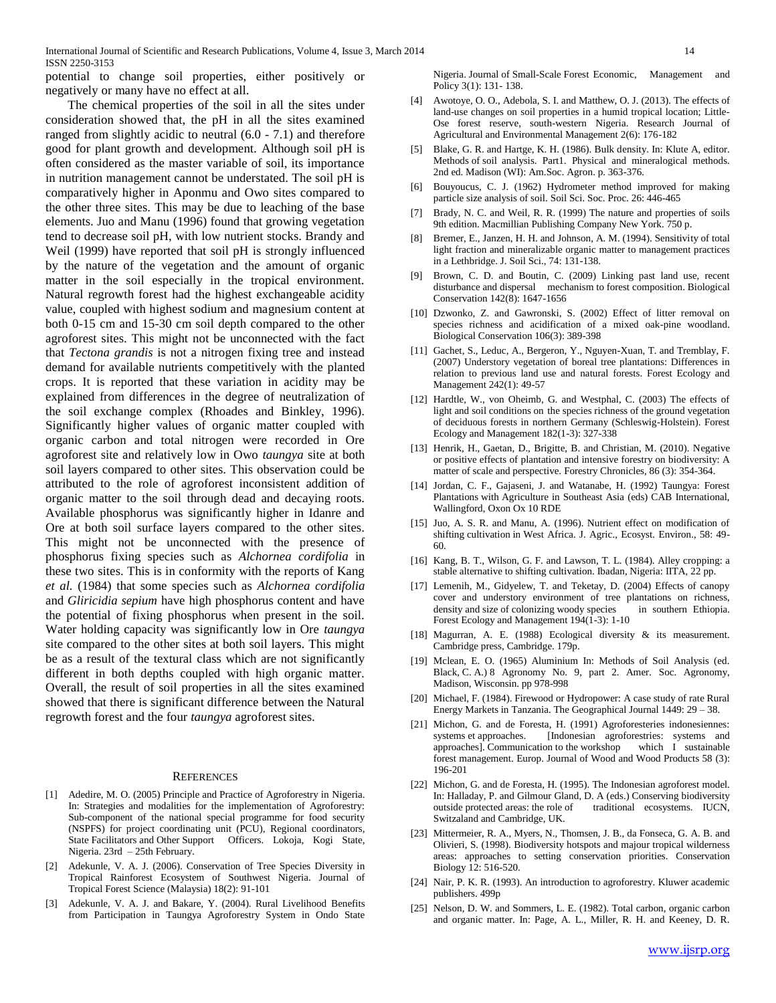potential to change soil properties, either positively or negatively or many have no effect at all.

 The chemical properties of the soil in all the sites under consideration showed that, the pH in all the sites examined ranged from slightly acidic to neutral (6.0 - 7.1) and therefore good for plant growth and development. Although soil pH is often considered as the master variable of soil, its importance in nutrition management cannot be understated. The soil pH is comparatively higher in Aponmu and Owo sites compared to the other three sites. This may be due to leaching of the base elements. Juo and Manu (1996) found that growing vegetation tend to decrease soil pH, with low nutrient stocks. Brandy and Weil (1999) have reported that soil pH is strongly influenced by the nature of the vegetation and the amount of organic matter in the soil especially in the tropical environment. Natural regrowth forest had the highest exchangeable acidity value, coupled with highest sodium and magnesium content at both 0-15 cm and 15-30 cm soil depth compared to the other agroforest sites. This might not be unconnected with the fact that *Tectona grandis* is not a nitrogen fixing tree and instead demand for available nutrients competitively with the planted crops. It is reported that these variation in acidity may be explained from differences in the degree of neutralization of the soil exchange complex (Rhoades and Binkley, 1996). Significantly higher values of organic matter coupled with organic carbon and total nitrogen were recorded in Ore agroforest site and relatively low in Owo *taungya* site at both soil layers compared to other sites. This observation could be attributed to the role of agroforest inconsistent addition of organic matter to the soil through dead and decaying roots. Available phosphorus was significantly higher in Idanre and Ore at both soil surface layers compared to the other sites. This might not be unconnected with the presence of phosphorus fixing species such as *Alchornea cordifolia* in these two sites. This is in conformity with the reports of Kang *et al.* (1984) that some species such as *Alchornea cordifolia* and *Gliricidia sepium* have high phosphorus content and have the potential of fixing phosphorus when present in the soil. Water holding capacity was significantly low in Ore *taungya* site compared to the other sites at both soil layers. This might be as a result of the textural class which are not significantly different in both depths coupled with high organic matter. Overall, the result of soil properties in all the sites examined showed that there is significant difference between the Natural regrowth forest and the four *taungya* agroforest sites.

#### **REFERENCES**

- [1] Adedire, M. O. (2005) Principle and Practice of Agroforestry in Nigeria. In: Strategies and modalities for the implementation of Agroforestry: Sub-component of the national special programme for food security (NSPFS) for project coordinating unit (PCU), Regional coordinators, State Facilitators and Other Support Officers. Lokoja, Kogi State, Nigeria. 23rd – 25th February.
- [2] Adekunle, V. A. J. (2006). Conservation of Tree Species Diversity in Tropical Rainforest Ecosystem of Southwest Nigeria. Journal of Tropical Forest Science (Malaysia) 18(2): 91-101
- [3] Adekunle, V. A. J. and Bakare, Y. (2004). Rural Livelihood Benefits from Participation in Taungya Agroforestry System in Ondo State

Nigeria. Journal of Small-Scale Forest Economic, Management and Policy 3(1): 131- 138.

- [4] Awotoye, O. O., Adebola, S. I. and Matthew, O. J. (2013). The effects of land-use changes on soil properties in a humid tropical location; Little-Ose forest reserve, south-western Nigeria. Research Journal of Agricultural and Environmental Management 2(6): 176-182
- [5] Blake, G. R. and Hartge, K. H. (1986). Bulk density. In: Klute A, editor. Methods of soil analysis. Part1. Physical and mineralogical methods. 2nd ed. Madison (WI): Am.Soc. Agron. p. 363-376.
- [6] Bouyoucus, C. J. (1962) Hydrometer method improved for making particle size analysis of soil. Soil Sci. Soc. Proc. 26: 446-465
- [7] Brady, N. C. and Weil, R. R. (1999) The nature and properties of soils 9th edition. Macmillian Publishing Company New York. 750 p.
- [8] Bremer, E., Janzen, H. H. and Johnson, A. M. (1994). Sensitivity of total light fraction and mineralizable organic matter to management practices in a Lethbridge. J. Soil Sci., 74: 131-138.
- Brown, C. D. and Boutin, C. (2009) Linking past land use, recent disturbance and dispersal mechanism to forest composition. Biological Conservation 142(8): 1647-1656
- [10] Dzwonko, Z. and Gawronski, S. (2002) Effect of litter removal on species richness and acidification of a mixed oak-pine woodland. Biological Conservation 106(3): 389-398
- [11] Gachet, S., Leduc, A., Bergeron, Y., Nguyen-Xuan, T. and Tremblay, F. (2007) Understory vegetation of boreal tree plantations: Differences in relation to previous land use and natural forests. Forest Ecology and Management 242(1): 49-57
- [12] Hardtle, W., von Oheimb, G. and Westphal, C. (2003) The effects of light and soil conditions on the species richness of the ground vegetation of deciduous forests in northern Germany (Schleswig-Holstein). Forest Ecology and Management 182(1-3): 327-338
- [13] Henrik, H., Gaetan, D., Brigitte, B. and Christian, M. (2010). Negative or positive effects of plantation and intensive forestry on biodiversity: A matter of scale and perspective. Forestry Chronicles, 86 (3): 354-364.
- [14] Jordan, C. F., Gajaseni, J. and Watanabe, H. (1992) Taungya: Forest Plantations with Agriculture in Southeast Asia (eds) CAB International, Wallingford, Oxon Ox 10 RDE
- [15] Juo, A. S. R. and Manu, A. (1996). Nutrient effect on modification of shifting cultivation in West Africa. J. Agric., Ecosyst. Environ., 58: 49- 60.
- [16] Kang, B. T., Wilson, G. F. and Lawson, T. L. (1984). Alley cropping: a stable alternative to shifting cultivation. Ibadan, Nigeria: IITA, 22 pp.
- [17] Lemenih, M., Gidyelew, T. and Teketay, D. (2004) Effects of canopy cover and understory environment of tree plantations on richness, density and size of colonizing woody species in southern Ethiopia. Forest Ecology and Management 194(1-3): 1-10
- [18] Magurran, A. E. (1988) Ecological diversity & its measurement. Cambridge press, Cambridge. 179p.
- [19] Mclean, E. O. (1965) Aluminium In: Methods of Soil Analysis (ed. Black, C. A.) 8 Agronomy No. 9, part 2. Amer. Soc. Agronomy, Madison, Wisconsin. pp 978-998
- [20] Michael, F. (1984). Firewood or Hydropower: A case study of rate Rural Energy Markets in Tanzania. The Geographical Journal 1449: 29 – 38.
- [21] Michon, G. and de Foresta, H. (1991) Agroforesteries indonesiennes: systems et approaches. [Indonesian agroforestries: systems and approaches]. Communication to the workshop which I sustainable forest management. Europ. Journal of Wood and Wood Products 58 (3): 196-201
- [22] Michon, G. and de Foresta, H. (1995). The Indonesian agroforest model. In: Halladay, P. and Gilmour Gland, D. A (eds.) Conserving biodiversity outside protected areas: the role of traditional ecosystems. IUCN, Switzaland and Cambridge, UK.
- [23] Mittermeier, R. A., Myers, N., Thomsen, J. B., da Fonseca, G. A. B. and Olivieri, S. (1998). Biodiversity hotspots and majour tropical wilderness areas: approaches to setting conservation priorities. Conservation Biology 12: 516-520.
- [24] Nair, P. K. R. (1993). An introduction to agroforestry. Kluwer academic publishers. 499p
- [25] Nelson, D. W. and Sommers, L. E. (1982). Total carbon, organic carbon and organic matter. In: Page, A. L., Miller, R. H. and Keeney, D. R.